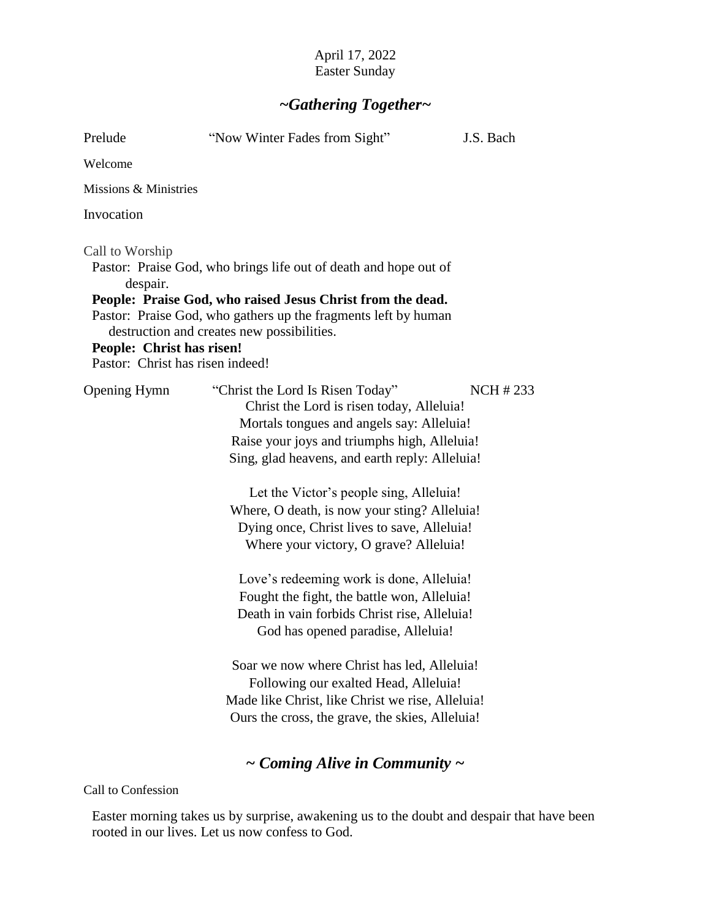## April 17, 2022 Easter Sunday

# *~Gathering Together~*

| Prelude                                                                                      | "Now Winter Fades from Sight"                                                                                                                                                                                                                                                                                                                                                                                                                                                                                                                                                                                                                                                                                                                                                                    | J.S. Bach       |
|----------------------------------------------------------------------------------------------|--------------------------------------------------------------------------------------------------------------------------------------------------------------------------------------------------------------------------------------------------------------------------------------------------------------------------------------------------------------------------------------------------------------------------------------------------------------------------------------------------------------------------------------------------------------------------------------------------------------------------------------------------------------------------------------------------------------------------------------------------------------------------------------------------|-----------------|
| Welcome                                                                                      |                                                                                                                                                                                                                                                                                                                                                                                                                                                                                                                                                                                                                                                                                                                                                                                                  |                 |
| Missions & Ministries                                                                        |                                                                                                                                                                                                                                                                                                                                                                                                                                                                                                                                                                                                                                                                                                                                                                                                  |                 |
| Invocation                                                                                   |                                                                                                                                                                                                                                                                                                                                                                                                                                                                                                                                                                                                                                                                                                                                                                                                  |                 |
| Call to Worship<br>despair.<br>People: Christ has risen!<br>Pastor: Christ has risen indeed! | Pastor: Praise God, who brings life out of death and hope out of<br>People: Praise God, who raised Jesus Christ from the dead.<br>Pastor: Praise God, who gathers up the fragments left by human<br>destruction and creates new possibilities.                                                                                                                                                                                                                                                                                                                                                                                                                                                                                                                                                   |                 |
| <b>Opening Hymn</b>                                                                          | "Christ the Lord Is Risen Today"<br>Christ the Lord is risen today, Alleluia!<br>Mortals tongues and angels say: Alleluia!<br>Raise your joys and triumphs high, Alleluia!<br>Sing, glad heavens, and earth reply: Alleluia!<br>Let the Victor's people sing, Alleluia!<br>Where, O death, is now your sting? Alleluia!<br>Dying once, Christ lives to save, Alleluia!<br>Where your victory, O grave? Alleluia!<br>Love's redeeming work is done, Alleluia!<br>Fought the fight, the battle won, Alleluia!<br>Death in vain forbids Christ rise, Alleluia!<br>God has opened paradise, Alleluia!<br>Soar we now where Christ has led, Alleluia!<br>Following our exalted Head, Alleluia!<br>Made like Christ, like Christ we rise, Alleluia!<br>Ours the cross, the grave, the skies, Alleluia! | <b>NCH #233</b> |
|                                                                                              | $\sim$ Coming Alive in Community $\sim$                                                                                                                                                                                                                                                                                                                                                                                                                                                                                                                                                                                                                                                                                                                                                          |                 |

Call to Confession

Easter morning takes us by surprise, awakening us to the doubt and despair that have been rooted in our lives. Let us now confess to God.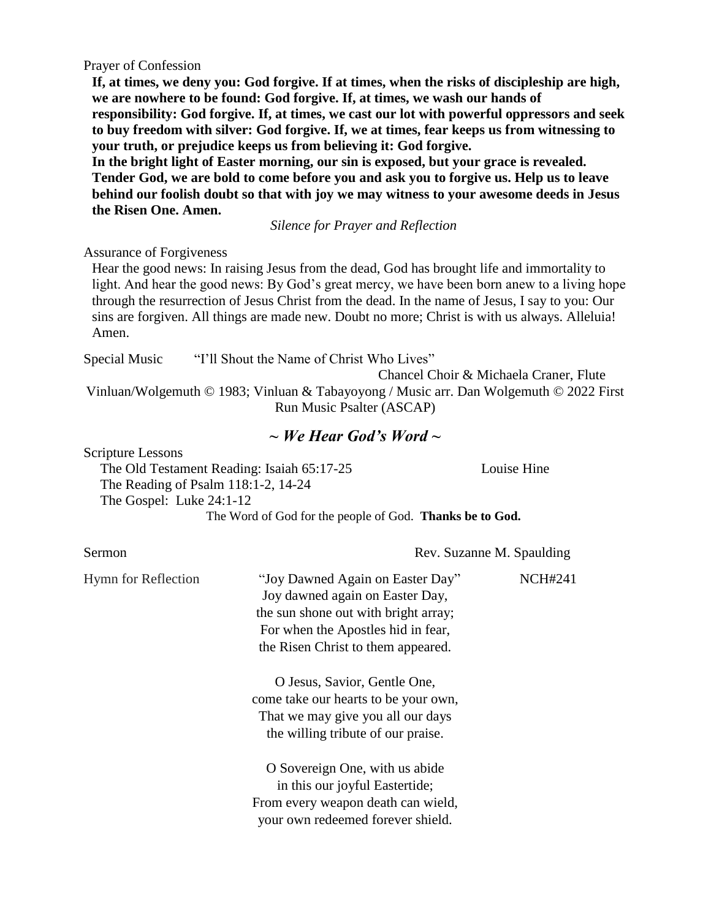Prayer of Confession

**If, at times, we deny you: God forgive. If at times, when the risks of discipleship are high, we are nowhere to be found: God forgive. If, at times, we wash our hands of responsibility: God forgive. If, at times, we cast our lot with powerful oppressors and seek to buy freedom with silver: God forgive. If, we at times, fear keeps us from witnessing to your truth, or prejudice keeps us from believing it: God forgive.** 

**In the bright light of Easter morning, our sin is exposed, but your grace is revealed. Tender God, we are bold to come before you and ask you to forgive us. Help us to leave behind our foolish doubt so that with joy we may witness to your awesome deeds in Jesus the Risen One. Amen.** 

*Silence for Prayer and Reflection*

#### Assurance of Forgiveness

Hear the good news: In raising Jesus from the dead, God has brought life and immortality to light. And hear the good news: By God's great mercy, we have been born anew to a living hope through the resurrection of Jesus Christ from the dead. In the name of Jesus, I say to you: Our sins are forgiven. All things are made new. Doubt no more; Christ is with us always. Alleluia! Amen.

Special Music "I'll Shout the Name of Christ Who Lives" Chancel Choir & Michaela Craner, Flute Vinluan/Wolgemuth © 1983; Vinluan & Tabayoyong / Music arr. Dan Wolgemuth © 2022 First Run Music Psalter (ASCAP)

## *~ We Hear God's Word ~*

Scripture Lessons

The Old Testament Reading: Isaiah 65:17-25 Louise Hine The Reading of Psalm 118:1-2, 14-24 The Gospel: Luke 24:1-12 The Word of God for the people of God. **Thanks be to God.**

| Sermon              | Rev. Suzanne M. Spaulding                                                                                                                                                               |                |
|---------------------|-----------------------------------------------------------------------------------------------------------------------------------------------------------------------------------------|----------------|
| Hymn for Reflection | "Joy Dawned Again on Easter Day"<br>Joy dawned again on Easter Day,<br>the sun shone out with bright array;<br>For when the Apostles hid in fear,<br>the Risen Christ to them appeared. | <b>NCH#241</b> |
|                     | O Jesus, Savior, Gentle One,<br>come take our hearts to be your own,<br>That we may give you all our days<br>the willing tribute of our praise.                                         |                |
|                     | O Sovereign One, with us abide<br>in this our joyful Eastertide;<br>From every weapon death can wield,<br>your own redeemed forever shield.                                             |                |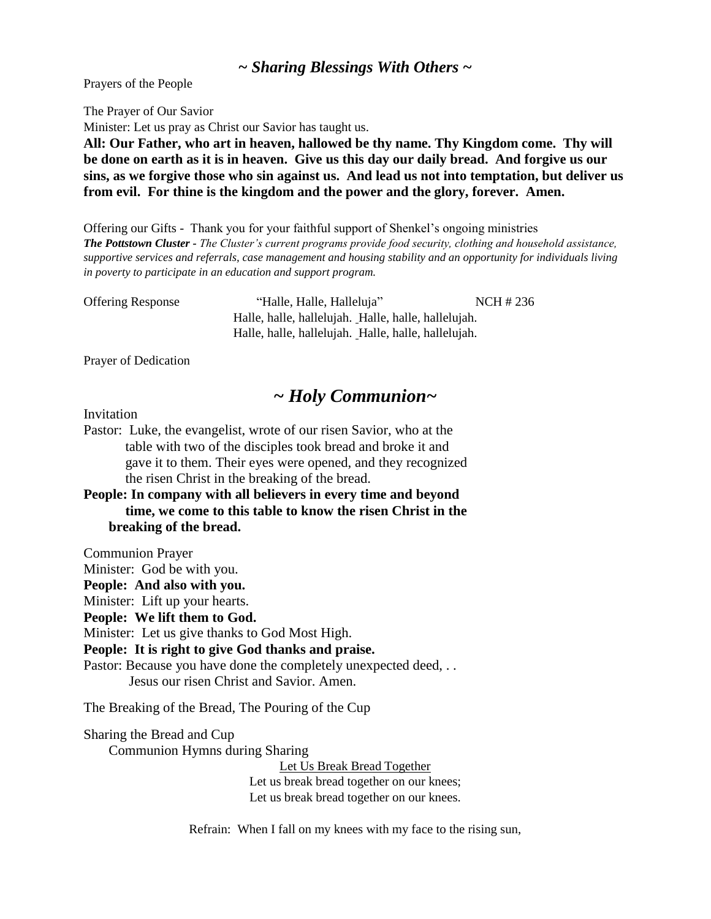#### *~ Sharing Blessings With Others ~*

Prayers of the People

The Prayer of Our Savior

Minister: Let us pray as Christ our Savior has taught us.

**All: Our Father, who art in heaven, hallowed be thy name. Thy Kingdom come. Thy will be done on earth as it is in heaven. Give us this day our daily bread. And forgive us our sins, as we forgive those who sin against us. And lead us not into temptation, but deliver us from evil. For thine is the kingdom and the power and the glory, forever. Amen.**

Offering our Gifts - Thank you for your faithful support of Shenkel's ongoing ministries *The Pottstown Cluster - The Cluster's current programs provide food security, clothing and household assistance, supportive services and referrals, case management and housing stability and an opportunity for individuals living in poverty to participate in an education and support program.*

Offering Response "Halle, Halle, Halleluja" NCH # 236 Halle, halle, hallelujah. Halle, halle, hallelujah. Halle, halle, hallelujah. Halle, halle, hallelujah.

Prayer of Dedication

## *~ Holy Communion~*

#### Invitation

Pastor: Luke, the evangelist, wrote of our risen Savior, who at the table with two of the disciples took bread and broke it and gave it to them. Their eyes were opened, and they recognized the risen Christ in the breaking of the bread.

**People: In company with all believers in every time and beyond time, we come to this table to know the risen Christ in the breaking of the bread.** 

Communion Prayer

Minister: God be with you.

**People: And also with you.**

Minister: Lift up your hearts.

**People: We lift them to God.**

Minister: Let us give thanks to God Most High.

**People: It is right to give God thanks and praise.**

Pastor: Because you have done the completely unexpected deed, ... Jesus our risen Christ and Savior. Amen.

The Breaking of the Bread, The Pouring of the Cup

Sharing the Bread and Cup

Communion Hymns during Sharing

Let Us Break Bread Together Let us break bread together on our knees; Let us break bread together on our knees.

Refrain: When I fall on my knees with my face to the rising sun,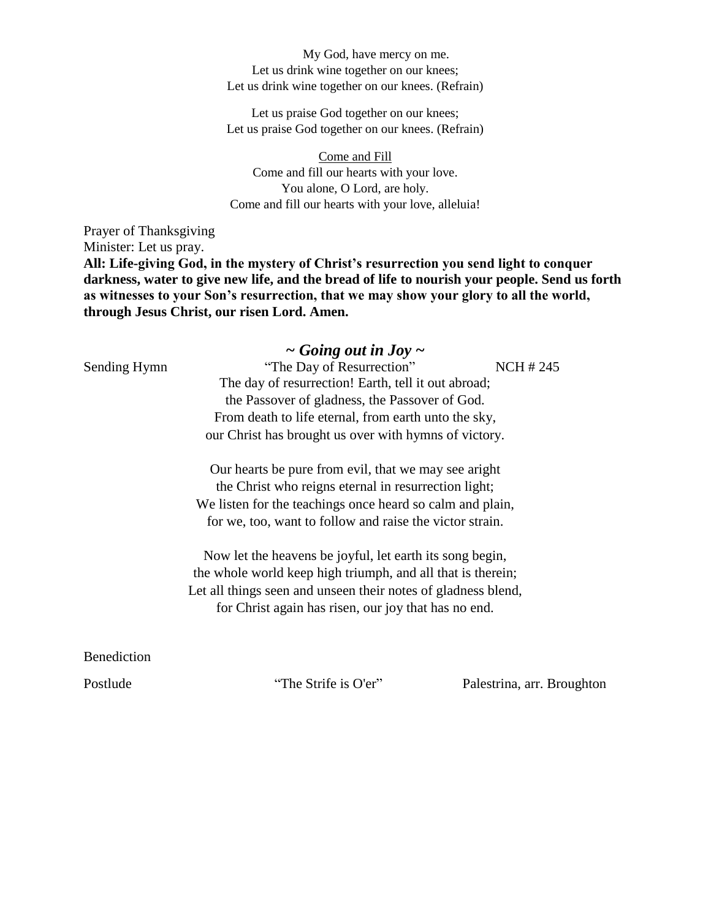My God, have mercy on me. Let us drink wine together on our knees; Let us drink wine together on our knees. (Refrain)

Let us praise God together on our knees; Let us praise God together on our knees. (Refrain)

Come and Fill Come and fill our hearts with your love. You alone, O Lord, are holy. Come and fill our hearts with your love, alleluia!

Prayer of Thanksgiving Minister: Let us pray. **All: Life-giving God, in the mystery of Christ's resurrection you send light to conquer darkness, water to give new life, and the bread of life to nourish your people. Send us forth as witnesses to your Son's resurrection, that we may show your glory to all the world, through Jesus Christ, our risen Lord. Amen.** 

|              | $\sim$ Going out in Joy $\sim$                                |                 |
|--------------|---------------------------------------------------------------|-----------------|
| Sending Hymn | "The Day of Resurrection"                                     | <b>NCH #245</b> |
|              | The day of resurrection! Earth, tell it out abroad;           |                 |
|              | the Passover of gladness, the Passover of God.                |                 |
|              | From death to life eternal, from earth unto the sky,          |                 |
|              | our Christ has brought us over with hymns of victory.         |                 |
|              | Our hearts be pure from evil, that we may see aright          |                 |
|              | the Christ who reigns eternal in resurrection light;          |                 |
|              | We listen for the teachings once heard so calm and plain,     |                 |
|              | for we, too, want to follow and raise the victor strain.      |                 |
|              | Now let the heavens be joyful, let earth its song begin,      |                 |
|              | the whole world keep high triumph, and all that is therein;   |                 |
|              | Let all things seen and unseen their notes of gladness blend, |                 |
|              | for Christ again has risen, our joy that has no end.          |                 |
|              |                                                               |                 |
| Benediction  |                                                               |                 |

Postlude "The Strife is O'er" Palestrina, arr. Broughton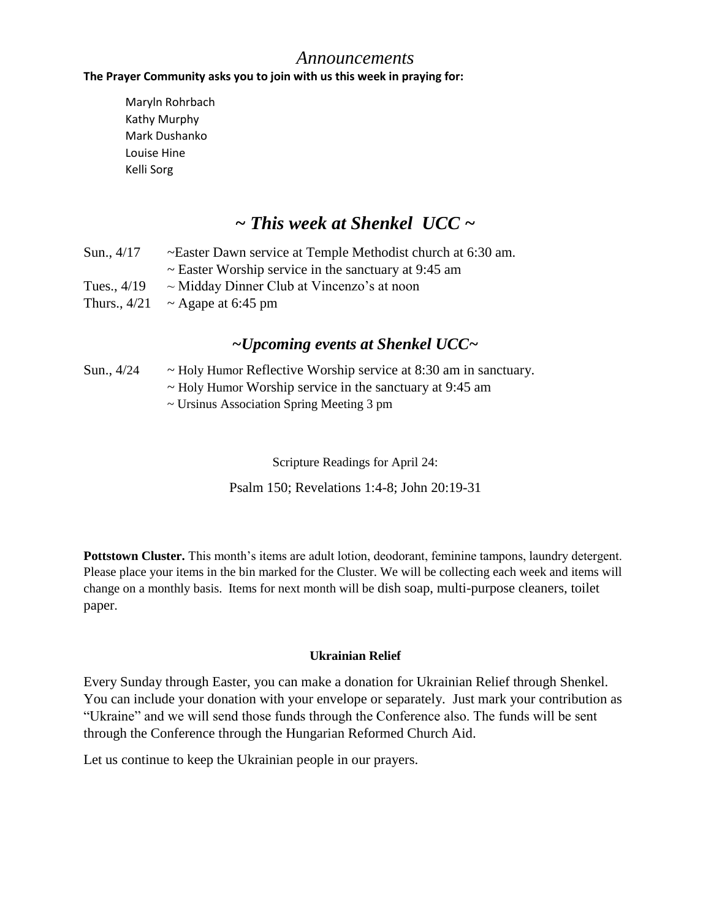### *Announcements*

#### **The Prayer Community asks you to join with us this week in praying for:**

Maryln Rohrbach Kathy Murphy Mark Dushanko Louise Hine Kelli Sorg

# *~ This week at Shenkel UCC ~*

| Sun., $4/17$  | ~Easter Dawn service at Temple Methodist church at 6:30 am. |
|---------------|-------------------------------------------------------------|
|               | $\sim$ Easter Worship service in the sanctuary at 9:45 am   |
| Tues., $4/19$ | $\sim$ Midday Dinner Club at Vincenzo's at noon             |
|               | Thurs., $4/21 \sim$ Agape at 6:45 pm                        |

## *~Upcoming events at Shenkel UCC~*

### Sun.,  $4/24 \rightarrow$  Holy Humor Reflective Worship service at 8:30 am in sanctuary. ~ Holy Humor Worship service in the sanctuary at 9:45 am

~ Ursinus Association Spring Meeting 3 pm

Scripture Readings for April 24:

Psalm 150; Revelations 1:4-8; John 20:19-31

**Pottstown Cluster.** This month's items are adult lotion, deodorant, feminine tampons, laundry detergent. Please place your items in the bin marked for the Cluster. We will be collecting each week and items will change on a monthly basis. Items for next month will be dish soap, multi-purpose cleaners, toilet paper.

#### **Ukrainian Relief**

Every Sunday through Easter, you can make a donation for Ukrainian Relief through Shenkel. You can include your donation with your envelope or separately. Just mark your contribution as "Ukraine" and we will send those funds through the Conference also. The funds will be sent through the Conference through the Hungarian Reformed Church Aid.

Let us continue to keep the Ukrainian people in our prayers.